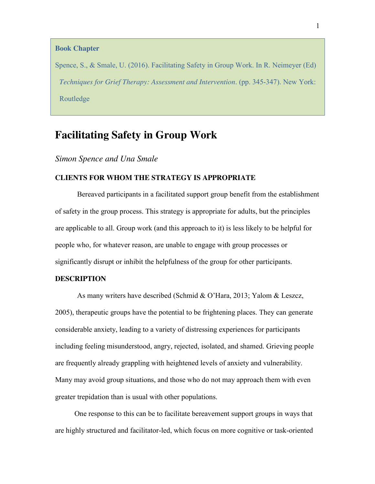# **Book Chapter**

Spence, S., & Smale, U. (2016). Facilitating Safety in Group Work. In R. Neimeyer (Ed) *Techniques for Grief Therapy: Assessment and Intervention*. (pp. 345-347). New York: Routledge

# **Facilitating Safety in Group Work**

*Simon Spence and Una Smale*

# **CLIENTS FOR WHOM THE STRATEGY IS APPROPRIATE**

Bereaved participants in a facilitated support group benefit from the establishment of safety in the group process. This strategy is appropriate for adults, but the principles are applicable to all. Group work (and this approach to it) is less likely to be helpful for people who, for whatever reason, are unable to engage with group processes or significantly disrupt or inhibit the helpfulness of the group for other participants.

# **DESCRIPTION**

As many writers have described (Schmid & O'Hara, 2013; Yalom & Leszcz, 2005), therapeutic groups have the potential to be frightening places. They can generate considerable anxiety, leading to a variety of distressing experiences for participants including feeling misunderstood, angry, rejected, isolated, and shamed. Grieving people are frequently already grappling with heightened levels of anxiety and vulnerability. Many may avoid group situations, and those who do not may approach them with even greater trepidation than is usual with other populations.

One response to this can be to facilitate bereavement support groups in ways that are highly structured and facilitator-led, which focus on more cognitive or task-oriented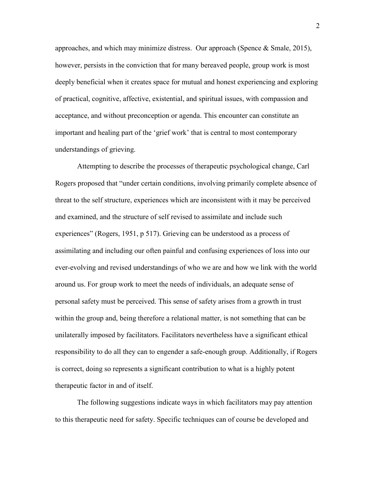approaches, and which may minimize distress. Our approach (Spence  $\&$  Smale, 2015), however, persists in the conviction that for many bereaved people, group work is most deeply beneficial when it creates space for mutual and honest experiencing and exploring of practical, cognitive, affective, existential, and spiritual issues, with compassion and acceptance, and without preconception or agenda. This encounter can constitute an important and healing part of the 'grief work' that is central to most contemporary understandings of grieving.

Attempting to describe the processes of therapeutic psychological change, Carl Rogers proposed that "under certain conditions, involving primarily complete absence of threat to the self structure, experiences which are inconsistent with it may be perceived and examined, and the structure of self revised to assimilate and include such experiences" (Rogers, 1951, p 517). Grieving can be understood as a process of assimilating and including our often painful and confusing experiences of loss into our ever-evolving and revised understandings of who we are and how we link with the world around us. For group work to meet the needs of individuals, an adequate sense of personal safety must be perceived. This sense of safety arises from a growth in trust within the group and, being therefore a relational matter, is not something that can be unilaterally imposed by facilitators. Facilitators nevertheless have a significant ethical responsibility to do all they can to engender a safe-enough group. Additionally, if Rogers is correct, doing so represents a significant contribution to what is a highly potent therapeutic factor in and of itself.

The following suggestions indicate ways in which facilitators may pay attention to this therapeutic need for safety. Specific techniques can of course be developed and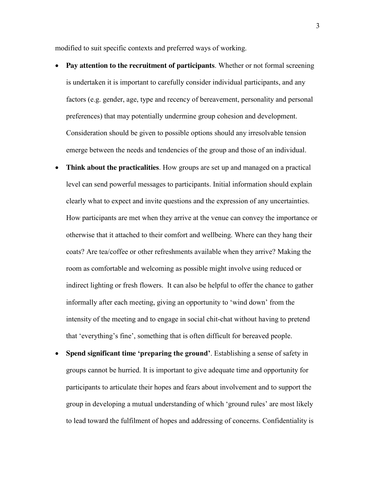modified to suit specific contexts and preferred ways of working.

- Pay attention to the recruitment of participants. Whether or not formal screening is undertaken it is important to carefully consider individual participants, and any factors (e.g. gender, age, type and recency of bereavement, personality and personal preferences) that may potentially undermine group cohesion and development. Consideration should be given to possible options should any irresolvable tension emerge between the needs and tendencies of the group and those of an individual.
- **Think about the practicalities**. How groups are set up and managed on a practical level can send powerful messages to participants. Initial information should explain clearly what to expect and invite questions and the expression of any uncertainties. How participants are met when they arrive at the venue can convey the importance or otherwise that it attached to their comfort and wellbeing. Where can they hang their coats? Are tea/coffee or other refreshments available when they arrive? Making the room as comfortable and welcoming as possible might involve using reduced or indirect lighting or fresh flowers. It can also be helpful to offer the chance to gather informally after each meeting, giving an opportunity to 'wind down' from the intensity of the meeting and to engage in social chit-chat without having to pretend that 'everything's fine', something that is often difficult for bereaved people.
- x **Spend significant time 'preparing the ground'**. Establishing a sense of safety in groups cannot be hurried. It is important to give adequate time and opportunity for participants to articulate their hopes and fears about involvement and to support the group in developing a mutual understanding of which 'ground rules' are most likely to lead toward the fulfilment of hopes and addressing of concerns. Confidentiality is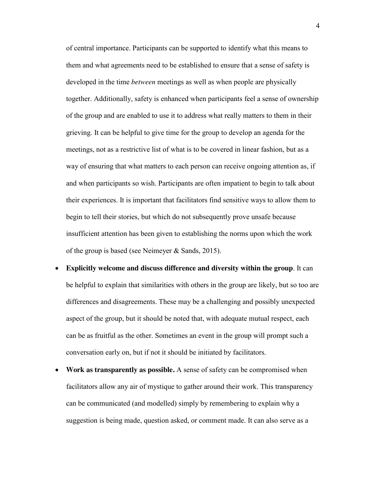of central importance. Participants can be supported to identify what this means to them and what agreements need to be established to ensure that a sense of safety is developed in the time *between* meetings as well as when people are physically together. Additionally, safety is enhanced when participants feel a sense of ownership of the group and are enabled to use it to address what really matters to them in their grieving. It can be helpful to give time for the group to develop an agenda for the meetings, not as a restrictive list of what is to be covered in linear fashion, but as a way of ensuring that what matters to each person can receive ongoing attention as, if and when participants so wish. Participants are often impatient to begin to talk about their experiences. It is important that facilitators find sensitive ways to allow them to begin to tell their stories, but which do not subsequently prove unsafe because insufficient attention has been given to establishing the norms upon which the work of the group is based (see Neimeyer & Sands, 2015).

- x **Explicitly welcome and discuss difference and diversity within the group**. It can be helpful to explain that similarities with others in the group are likely, but so too are differences and disagreements. These may be a challenging and possibly unexpected aspect of the group, but it should be noted that, with adequate mutual respect, each can be as fruitful as the other. Sometimes an event in the group will prompt such a conversation early on, but if not it should be initiated by facilitators.
- **Work as transparently as possible.** A sense of safety can be compromised when facilitators allow any air of mystique to gather around their work. This transparency can be communicated (and modelled) simply by remembering to explain why a suggestion is being made, question asked, or comment made. It can also serve as a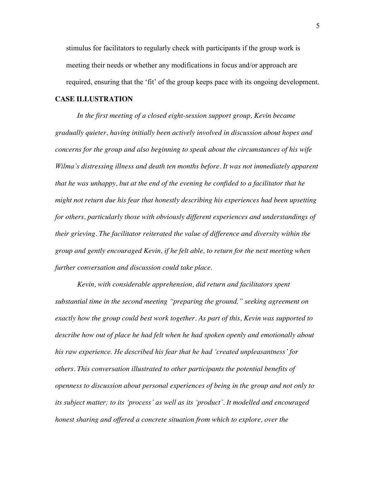stimulus for facilitators to regularly check with participants if the group work is meeting their needs or whether any modifications in focus and/or approach are required, ensuring that the 'fit' of the group keeps pace with its ongoing development.

### **CASE ILLUSTRATION**

*In the first meeting of a closed eight-session support group, Kevin became gradually quieter, having initially been actively involved in discussion about hopes and concerns for the group and also beginning to speak about the circumstances of his wife Wilma's distressing illness and death ten months before. It was not immediately apparent that he was unhappy, but at the end of the evening he confided to a facilitator that he might not return due his fear that honestly describing his experiences had been upsetting for others, particularly those with obviously different experiences and understandings of their grieving. The facilitator reiterated the value of difference and diversity within the group and gently encouraged Kevin, if he felt able, to return for the next meeting when further conversation and discussion could take place.*

*Kevin, with considerable apprehension, did return and facilitators spent substantial time in the second meeting "preparing the ground," seeking agreement on exactly how the group could best work together. As part of this, Kevin was supported to describe how out of place he had felt when he had spoken openly and emotionally about his raw experience. He described his fear that he had 'created unpleasantness' for others. This conversation illustrated to other participants the potential benefits of openness to discussion about personal experiences of being in the group and not only to its subject matter; to its 'process' as well as its 'product'. It modelled and encouraged honest sharing and offered a concrete situation from which to explore, over the*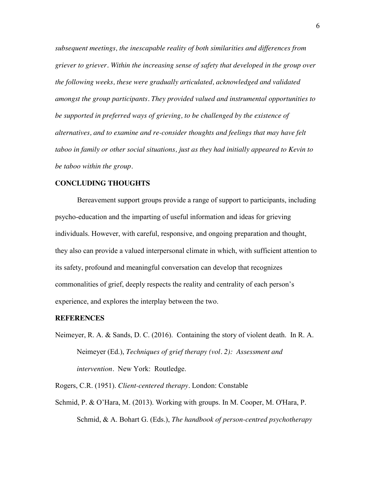*subsequent meetings, the inescapable reality of both similarities and differences from griever to griever. Within the increasing sense of safety that developed in the group over the following weeks, these were gradually articulated, acknowledged and validated amongst the group participants. They provided valued and instrumental opportunities to be supported in preferred ways of grieving, to be challenged by the existence of alternatives, and to examine and re-consider thoughts and feelings that may have felt taboo in family or other social situations, just as they had initially appeared to Kevin to be taboo within the group.*

# **CONCLUDING THOUGHTS**

Bereavement support groups provide a range of support to participants, including psycho-education and the imparting of useful information and ideas for grieving individuals. However, with careful, responsive, and ongoing preparation and thought, they also can provide a valued interpersonal climate in which, with sufficient attention to its safety, profound and meaningful conversation can develop that recognizes commonalities of grief, deeply respects the reality and centrality of each person's experience, and explores the interplay between the two.

### **REFERENCES**

Neimeyer, R. A. & Sands, D. C. (2016). Containing the story of violent death. In R. A. Neimeyer (Ed.), *Techniques of grief therapy (vol. 2): Assessment and intervention.* New York: Routledge.

Rogers, C.R. (1951). *Client-centered therapy.* London: Constable

Schmid, P. & O'Hara, M. (2013). Working with groups. In M. Cooper, M. O'Hara, P. Schmid, & A. Bohart G. (Eds.), *The handbook of person-centred psychotherapy*